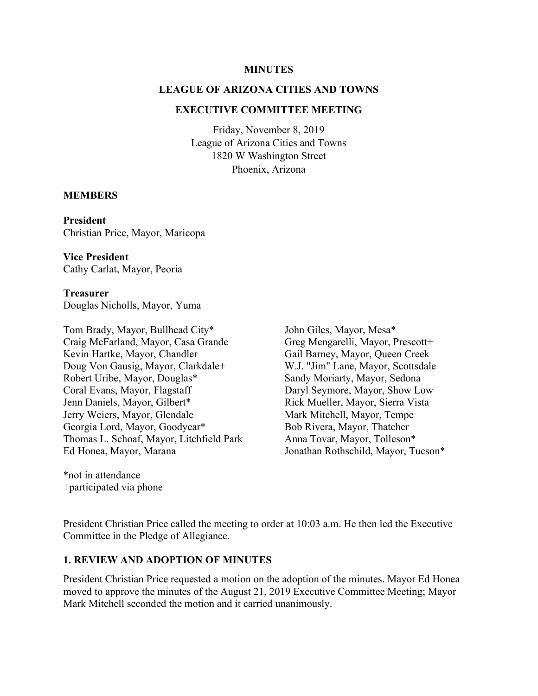#### **MINUTES**

### **LEAGUE OF ARIZONA CITIES AND TOWNS**

#### **EXECUTIVE COMMITTEE MEETING**

Friday, November 8, 2019 League of Arizona Cities and Towns 1820 W Washington Street Phoenix, Arizona

#### **MEMBERS**

**President**  Christian Price, Mayor, Maricopa

**Vice President**  Cathy Carlat, Mayor, Peoria

**Treasurer**  Douglas Nicholls, Mayor, Yuma

Tom Brady, Mayor, Bullhead City\* Craig McFarland, Mayor, Casa Grande Kevin Hartke, Mayor, Chandler Doug Von Gausig, Mayor, Clarkdale+ Robert Uribe, Mayor, Douglas\* Coral Evans, Mayor, Flagstaff Jenn Daniels, Mayor, Gilbert\* Jerry Weiers, Mayor, Glendale Georgia Lord, Mayor, Goodyear\* Thomas L. Schoaf, Mayor, Litchfield Park Ed Honea, Mayor, Marana

\*not in attendance +participated via phone John Giles, Mayor, Mesa\* Greg Mengarelli, Mayor, Prescott+ Gail Barney, Mayor, Queen Creek W.J. "Jim" Lane, Mayor, Scottsdale Sandy Moriarty, Mayor, Sedona Daryl Seymore, Mayor, Show Low Rick Mueller, Mayor, Sierra Vista Mark Mitchell, Mayor, Tempe Bob Rivera, Mayor, Thatcher Anna Tovar, Mayor, Tolleson\* Jonathan Rothschild, Mayor, Tucson\*

President Christian Price called the meeting to order at 10:03 a.m. He then led the Executive Committee in the Pledge of Allegiance.

#### **1. REVIEW AND ADOPTION OF MINUTES**

President Christian Price requested a motion on the adoption of the minutes. Mayor Ed Honea moved to approve the minutes of the August 21, 2019 Executive Committee Meeting; Mayor Mark Mitchell seconded the motion and it carried unanimously.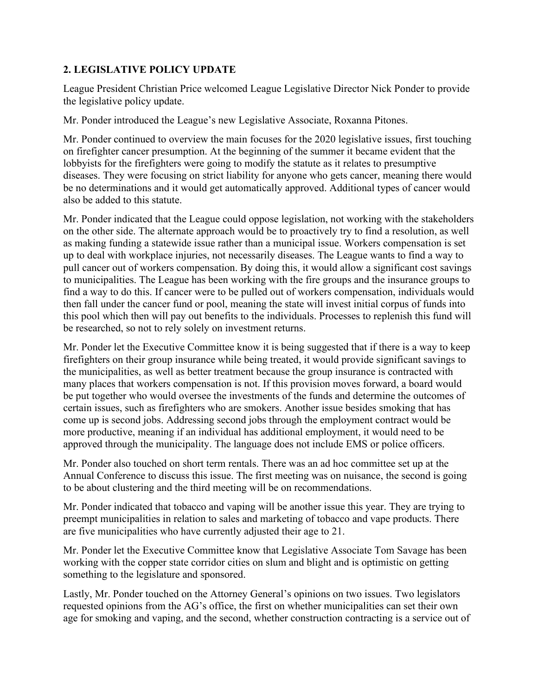## **2. LEGISLATIVE POLICY UPDATE**

League President Christian Price welcomed League Legislative Director Nick Ponder to provide the legislative policy update.

Mr. Ponder introduced the League's new Legislative Associate, Roxanna Pitones.

Mr. Ponder continued to overview the main focuses for the 2020 legislative issues, first touching on firefighter cancer presumption. At the beginning of the summer it became evident that the lobbyists for the firefighters were going to modify the statute as it relates to presumptive diseases. They were focusing on strict liability for anyone who gets cancer, meaning there would be no determinations and it would get automatically approved. Additional types of cancer would also be added to this statute.

Mr. Ponder indicated that the League could oppose legislation, not working with the stakeholders on the other side. The alternate approach would be to proactively try to find a resolution, as well as making funding a statewide issue rather than a municipal issue. Workers compensation is set up to deal with workplace injuries, not necessarily diseases. The League wants to find a way to pull cancer out of workers compensation. By doing this, it would allow a significant cost savings to municipalities. The League has been working with the fire groups and the insurance groups to find a way to do this. If cancer were to be pulled out of workers compensation, individuals would then fall under the cancer fund or pool, meaning the state will invest initial corpus of funds into this pool which then will pay out benefits to the individuals. Processes to replenish this fund will be researched, so not to rely solely on investment returns.

Mr. Ponder let the Executive Committee know it is being suggested that if there is a way to keep firefighters on their group insurance while being treated, it would provide significant savings to the municipalities, as well as better treatment because the group insurance is contracted with many places that workers compensation is not. If this provision moves forward, a board would be put together who would oversee the investments of the funds and determine the outcomes of certain issues, such as firefighters who are smokers. Another issue besides smoking that has come up is second jobs. Addressing second jobs through the employment contract would be more productive, meaning if an individual has additional employment, it would need to be approved through the municipality. The language does not include EMS or police officers.

Mr. Ponder also touched on short term rentals. There was an ad hoc committee set up at the Annual Conference to discuss this issue. The first meeting was on nuisance, the second is going to be about clustering and the third meeting will be on recommendations.

Mr. Ponder indicated that tobacco and vaping will be another issue this year. They are trying to preempt municipalities in relation to sales and marketing of tobacco and vape products. There are five municipalities who have currently adjusted their age to 21.

Mr. Ponder let the Executive Committee know that Legislative Associate Tom Savage has been working with the copper state corridor cities on slum and blight and is optimistic on getting something to the legislature and sponsored.

Lastly, Mr. Ponder touched on the Attorney General's opinions on two issues. Two legislators requested opinions from the AG's office, the first on whether municipalities can set their own age for smoking and vaping, and the second, whether construction contracting is a service out of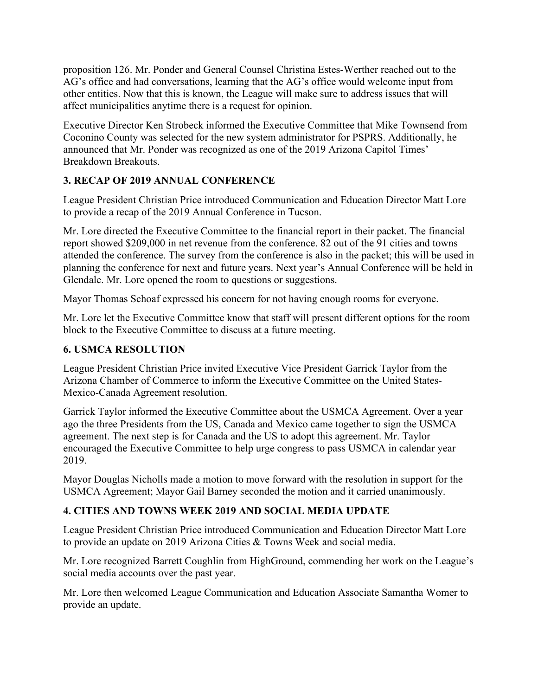proposition 126. Mr. Ponder and General Counsel Christina Estes-Werther reached out to the AG's office and had conversations, learning that the AG's office would welcome input from other entities. Now that this is known, the League will make sure to address issues that will affect municipalities anytime there is a request for opinion.

Executive Director Ken Strobeck informed the Executive Committee that Mike Townsend from Coconino County was selected for the new system administrator for PSPRS. Additionally, he announced that Mr. Ponder was recognized as one of the 2019 Arizona Capitol Times' Breakdown Breakouts.

# **3. RECAP OF 2019 ANNUAL CONFERENCE**

League President Christian Price introduced Communication and Education Director Matt Lore to provide a recap of the 2019 Annual Conference in Tucson.

Mr. Lore directed the Executive Committee to the financial report in their packet. The financial report showed \$209,000 in net revenue from the conference. 82 out of the 91 cities and towns attended the conference. The survey from the conference is also in the packet; this will be used in planning the conference for next and future years. Next year's Annual Conference will be held in Glendale. Mr. Lore opened the room to questions or suggestions.

Mayor Thomas Schoaf expressed his concern for not having enough rooms for everyone.

Mr. Lore let the Executive Committee know that staff will present different options for the room block to the Executive Committee to discuss at a future meeting.

## **6. USMCA RESOLUTION**

League President Christian Price invited Executive Vice President Garrick Taylor from the Arizona Chamber of Commerce to inform the Executive Committee on the United States-Mexico-Canada Agreement resolution.

Garrick Taylor informed the Executive Committee about the USMCA Agreement. Over a year ago the three Presidents from the US, Canada and Mexico came together to sign the USMCA agreement. The next step is for Canada and the US to adopt this agreement. Mr. Taylor encouraged the Executive Committee to help urge congress to pass USMCA in calendar year 2019.

Mayor Douglas Nicholls made a motion to move forward with the resolution in support for the USMCA Agreement; Mayor Gail Barney seconded the motion and it carried unanimously.

# **4. CITIES AND TOWNS WEEK 2019 AND SOCIAL MEDIA UPDATE**

League President Christian Price introduced Communication and Education Director Matt Lore to provide an update on 2019 Arizona Cities & Towns Week and social media.

Mr. Lore recognized Barrett Coughlin from HighGround, commending her work on the League's social media accounts over the past year.

Mr. Lore then welcomed League Communication and Education Associate Samantha Womer to provide an update.